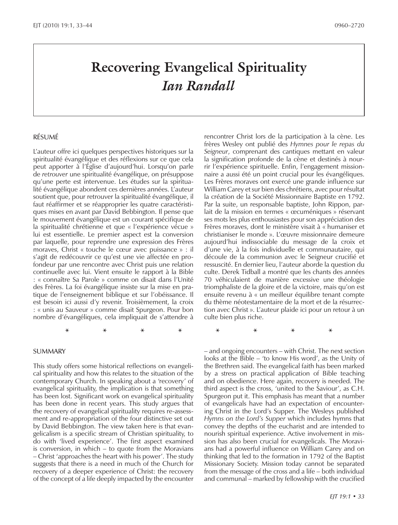# *Ian Randall*

#### RÉSUMÉ

L'auteur offre ici quelques perspectives historiques sur la spiritualité évangélique et des réflexions sur ce que cela peut apporter à l'Église d'aujourd'hui. Lorsqu'on parle de *retrouver* une spiritualité évangélique, on présuppose qu'une perte est intervenue. Les études sur la spiritualité évangélique abondent ces dernières années. L'auteur soutient que, pour retrouver la spiritualité évangélique, il faut réaffirmer et se réapproprier les quatre caractéristiques mises en avant par David Bebbington. Il pense que le mouvement évangélique est un courant spécifique de la spiritualité chrétienne et que « l'expérience vécue » lui est essentielle. Le premier aspect est la conversion par laquelle, pour reprendre une expression des Frères moraves, Christ « touche le cœur avec puissance » : il s'agit de redécouvrir ce qu'est une vie affectée en profondeur par une rencontre avec Christ puis une relation continuelle avec lui. Vient ensuite le rapport à la Bible : « connaître Sa Parole » comme on disait dans l'Unité des Frères. La foi évangélique insiste sur la mise en pratique de l'enseignement biblique et sur l'obéissance. Il est besoin ici aussi d'y revenir. Troisièmement, la croix : « unis au Sauveur » comme disait Spurgeon. Pour bon nombre d'évangéliques, cela impliquait de s'attendre à

SUMMARY

This study offers some historical reflections on evangelical spirituality and how this relates to the situation of the contemporary Church. In speaking about a 'recovery' of evangelical spirituality, the implication is that something has been lost. Significant work on evangelical spirituality has been done in recent years. This study argues that the recovery of evangelical spirituality requires re-assessment and re-appropriation of the four distinctive set out by David Bebbington. The view taken here is that evangelicalism is a specific stream of Christian spirituality, to do with 'lived experience'. The first aspect examined is conversion, in which – to quote from the Moravians – Christ 'approaches the heart with his power'. The study suggests that there is a need in much of the Church for recovery of a deeper experience of Christ: the recovery of the concept of a life deeply impacted by the encounter

**EXECTS EXECTS EXECTS EXECTS EXECTS EXECTS EXECTS EXECTS EXECTS EXECTS EXECTS EXECTS EXECTS EXECTS EXECTS EXECTS EXECTS EXECTS EXECTS EXECTS EXECTS EXECTS EXECTS EXECTS EXEC** rencontrer Christ lors de la participation à la cène. Les frères Wesley ont publié des *Hymnes pour le repas du Seigneur*, comprenant des cantiques mettant en valeur la signification profonde de la cène et destinés à nourrir l'expérience spirituelle. Enfin, l'engagement missionnaire a aussi été un point crucial pour les évangéliques. Les Frères moraves ont exercé une grande influence sur William Carey et sur bien des chrétiens, avec pour résultat la création de la Société Missionnaire Baptiste en 1792. Par la suite, un responsable baptiste, John Rippon, parlait de la mission en termes « œcuméniques » réservant ses mots les plus enthousiastes pour son appréciation des Frères moraves, dont le ministère visait à « humaniser et christianiser le monde ». L'œuvre missionnaire demeure aujourd'hui indissociable du message de la croix et d'une vie, à la fois individuelle et communautaire, qui découle de la communion avec le Seigneur crucifié et ressuscité. En dernier lieu, l'auteur aborde la question du culte. Derek Tidball a montré que les chants des années 70 véhiculaient de manière excessive une théologie triomphaliste de la gloire et de la victoire, mais qu'on est ensuite revenu à « un meilleur équilibre tenant compte du thème néotestamentaire de la mort et de la résurrection avec Christ ». L'auteur plaide ici pour un retour à un culte bien plus riche.

– and ongoing encounters – with Christ. The next section looks at the Bible – 'to know His word', as the Unity of the Brethren said. The evangelical faith has been marked by a stress on practical application of Bible teaching and on obedience. Here again, recovery is needed. The third aspect is the cross, 'united to the Saviour', as C.H. Spurgeon put it. This emphasis has meant that a number of evangelicals have had an expectation of encountering Christ in the Lord's Supper. The Wesleys published *Hymns on the Lord's Supper* which includes hymns that convey the depths of the eucharist and are intended to nourish spiritual experience. Active involvement in mission has also been crucial for evangelicals. The Moravians had a powerful influence on William Carey and on thinking that led to the formation in 1792 of the Baptist Missionary Society. Mission today cannot be separated from the message of the cross and a life – both individual and communal – marked by fellowship with the crucified **\* \* \* \* \* \* \* \***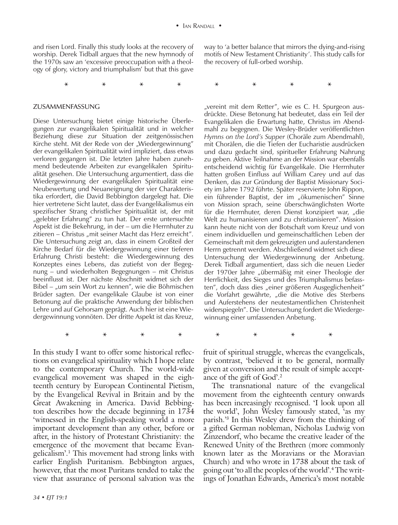**\* \* \* \* \* \* \* \***

and risen Lord. Finally this study looks at the recovery of worship. Derek Tidball argues that the new hymnody of the 1970s saw an 'excessive preoccupation with a theology of glory, victory and triumphalism' but that this gave

#### ZUSAMMENFASSUNG

Diese Untersuchung bietet einige historische Überlegungen zur evangelikalen Spiritualität und in welcher Beziehung diese zur Situation der zeitgenössischen Kirche steht. Mit der Rede von der "Wiedergewinnung" der evangelikalen Spiritualität wird impliziert, dass etwas verloren gegangen ist. Die letzten Jahre haben zunehmend bedeutende Arbeiten zur evangelikalen Spiritualität gesehen. Die Untersuchung argumentiert, dass die Wiedergewinnung der evangelikalen Spiritualität eine Neubewertung und Neuaneignung der vier Charakteristika erfordert, die David Bebbington dargelegt hat. Die hier vertretene Sicht lautet, dass der Evangelikalismus ein spezifischer Strang christlicher Spiritualität ist, der mit "gelebter Erfahrung" zu tun hat. Der erste untersuchte Aspekt ist die Bekehrung, in der – um die Herrnhuter zu zitieren – Christus "mit seiner Macht das Herz erreicht". Die Untersuchung zeigt an, dass in einem Großteil der Kirche Bedarf für die Wiedergewinnung einer tieferen Erfahrung Christi besteht: die Wiedergewinnung des Konzeptes eines Lebens, das zutiefst von der Begegnung – und wiederholten Begegnungen – mit Christus beeinflusst ist. Der nächste Abschnitt widmet sich der Bibel – "um sein Wort zu kennen", wie die Böhmischen Brüder sagten. Der evangelikale Glaube ist von einer Betonung auf die praktische Anwendung der biblischen Lehre und auf Gehorsam geprägt. Auch hier ist eine Wiedergewinnung vonnöten. Der dritte Aspekt ist das Kreuz,

In this study I want to offer some historical reflections on evangelical spirituality which I hope relate to the contemporary Church. The world-wide evangelical movement was shaped in the eighteenth century by European Continental Pietism, by the Evangelical Revival in Britain and by the Great Awakening in America. David Bebbington describes how the decade beginning in 1734 'witnessed in the English-speaking world a more important development than any other, before or after, in the history of Protestant Christianity: the emergence of the movement that became Evangelicalism'.1 This movement had strong links with earlier English Puritanism. Bebbington argues, however, that the most Puritans tended to take the view that assurance of personal salvation was the

way to 'a better balance that mirrors the dying-and-rising motifs of New Testament Christianity'. This study calls for the recovery of full-orbed worship.

**\* \* \* \* \* \* \* \***

"vereint mit dem Retter", wie es C. H. Spurgeon ausdrückte. Diese Betonung hat bedeutet, dass ein Teil der Evangelikalen die Erwartung hatte, Christus im Abendmahl zu begegnen. Die Wesley-Brüder veröffentlichten *Hymns on the Lord's Supper* (Choräle zum Abendmahl), mit Chorälen, die die Tiefen der Eucharistie ausdrücken und dazu gedacht sind, spiritueller Erfahrung Nahrung zu geben. Aktive Teilnahme an der Mission war ebenfalls entscheidend wichtig für Evangelikale. Die Herrnhuter hatten großen Einfluss auf William Carey und auf das Denken, das zur Gründung der Baptist Missionary Society im Jahre 1792 führte. Später reservierte John Rippon, ein führender Baptist, der im "ökumenischen" Sinne von Mission sprach, seine überschwänglichsten Worte für die Herrnhuter, deren Dienst konzipiert war, "die Welt zu humanisieren und zu christianisieren". Mission kann heute nicht von der Botschaft vom Kreuz und von einem individuellen und gemeinschaftlichen Leben der Gemeinschaft mit dem gekreuzigten und auferstandenen Herrn getrennt werden. Abschließend widmet sich diese Untersuchung der Wiedergewinnung der Anbetung. Derek Tidball argumentiert, dass sich die neuen Lieder der 1970er Jahre "übermäßig mit einer Theologie der Herrlichkeit, des Sieges und des Triumphalismus befassten", doch dass dies "einer größeren Ausgeglichenheit" die Vorfahrt gewährte, "die die Motive des Sterbens und Auferstehens der neutestamentlichen Christenheit widerspiegeln". Die Untersuchung fordert die Wiedergewinnung einer umfassenden Anbetung.

fruit of spiritual struggle, whereas the evangelicals, by contrast, 'believed it to be general, normally given at conversion and the result of simple acceptance of the gift of God'.2

The transnational nature of the evangelical movement from the eighteenth century onwards has been increasingly recognised. 'I look upon all the world', John Wesley famously stated, 'as my parish.'3 In this Wesley drew from the thinking of a gifted German nobleman, Nicholas Ludwig von Zinzendorf, who became the creative leader of the Renewed Unity of the Brethren (more commonly known later as the Moravians or the Moravian Church) and who wrote in 1738 about the task of going out 'to all the peoples of the world'.4 The writings of Jonathan Edwards, America's most notable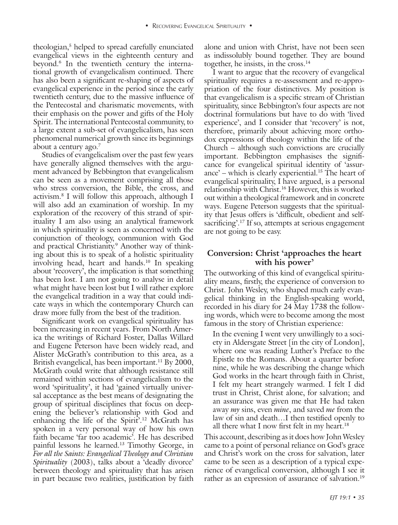theologian,<sup>5</sup> helped to spread carefully enunciated evangelical views in the eighteenth century and beyond.6 In the twentieth century the international growth of evangelicalism continued. There has also been a significant re-shaping of aspects of evangelical experience in the period since the early twentieth century, due to the massive influence of the Pentecostal and charismatic movements, with their emphasis on the power and gifts of the Holy Spirit. The international Pentecostal community, to a large extent a sub-set of evangelicalism, has seen phenomenal numerical growth since its beginnings about a century ago.7

Studies of evangelicalism over the past few years have generally aligned themselves with the argument advanced by Bebbington that evangelicalism can be seen as a movement comprising all those who stress conversion, the Bible, the cross, and activism.8 I will follow this approach, although I will also add an examination of worship. In my exploration of the recovery of this strand of spirituality I am also using an analytical framework in which spirituality is seen as concerned with the conjunction of theology, communion with God and practical Christianity.9 Another way of thinking about this is to speak of a holistic spirituality involving head, heart and hands.<sup>10</sup> In speaking about 'recovery', the implication is that something has been lost. I am not going to analyse in detail what might have been lost but I will rather explore the evangelical tradition in a way that could indicate ways in which the contemporary Church can draw more fully from the best of the tradition.

**Health (1)** helped to yeve all of the maximal allow and union with Christ have not been seen as a maximal and properties the maximal allow the set of the maximal and growth of complete to yer allow the complete to provid Significant work on evangelical spirituality has been increasing in recent years. From North America the writings of Richard Foster, Dallas Willard and Eugene Peterson have been widely read, and Alister McGrath's contribution to this area, as a British evangelical, has been important.<sup>11</sup> By 2000, McGrath could write that although resistance still remained within sections of evangelicalism to the word 'spirituality', it had 'gained virtually universal acceptance as the best means of designating the group of spiritual disciplines that focus on deepening the believer's relationship with God and enhancing the life of the Spirit<sup>2,12</sup> McGrath has spoken in a very personal way of how his own faith became 'far too academic'. He has described painful lessons he learned.13 Timothy George, in *For all the Saints: Evangelical Theology and Christian Spirituality* (2003), talks about a 'deadly divorce' between theology and spirituality that has arisen in part because two realities, justification by faith

alone and union with Christ, have not been seen as indissolubly bound together. They are bound together, he insists, in the cross.<sup>14</sup>

I want to argue that the recovery of evangelical spirituality requires a re-assessment and re-appropriation of the four distinctives. My position is that evangelicalism is a specific stream of Christian spirituality, since Bebbington's four aspects are not doctrinal formulations but have to do with 'lived experience', and I consider that 'recovery' is not, therefore, primarily about achieving more orthodox expressions of theology within the life of the Church – although such convictions are crucially important. Bebbington emphasises the significance for evangelical spiritual identity of 'assurance' – which is clearly experiential.<sup>15</sup> The heart of evangelical spirituality, I have argued, is a personal relationship with Christ.16 However, this is worked out within a theological framework and in concrete ways. Eugene Peterson suggests that the spirituality that Jesus offers is 'difficult, obedient and selfsacrificing'.<sup>17</sup> If so, attempts at serious engagement are not going to be easy.

# **Conversion: Christ 'approaches the heart with his power'**

The outworking of this kind of evangelical spirituality means, firstly, the experience of conversion to Christ. John Wesley, who shaped much early evangelical thinking in the English-speaking world, recorded in his diary for 24 May 1738 the following words, which were to become among the most famous in the story of Christian experience:

In the evening I went very unwillingly to a society in Aldersgate Street [in the city of London], where one was reading Luther's Preface to the Epistle to the Romans. About a quarter before nine, while he was describing the change which God works in the heart through faith in Christ, I felt my heart strangely warmed. I felt I did trust in Christ, Christ alone, for salvation; and an assurance was given me that He had taken away *my* sins, even *mine*, and saved *me* from the law of sin and death…I then testified openly to all there what I now first felt in my heart.<sup>18</sup>

This account, describing as it does how John Wesley came to a point of personal reliance on God's grace and Christ's work on the cross for salvation, later came to be seen as a description of a typical experience of evangelical conversion, although I see it rather as an expression of assurance of salvation.<sup>19</sup>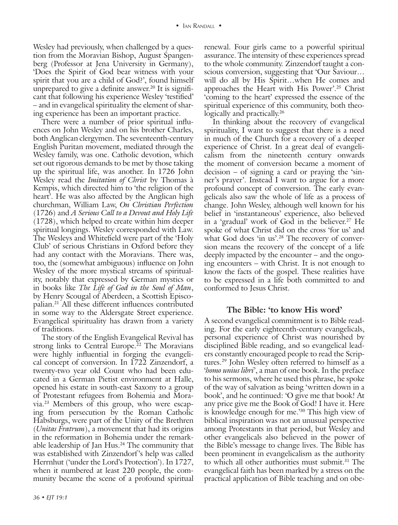Wesley had previously, when challenged by a question from the Moravian Bishop, August Spangenberg (Professor at Jena University in Germany), 'Does the Spirit of God bear witness with your spirit that you are a child of God?', found himself unprepared to give a definite answer.<sup>20</sup> It is significant that following his experience Wesley 'testified' – and in evangelical spirituality the element of sharing experience has been an important practice.

There were a number of prior spiritual influences on John Wesley and on his brother Charles, both Anglican clergymen. The seventeenth-century English Puritan movement, mediated through the Wesley family, was one. Catholic devotion, which set out rigorous demands to be met by those taking up the spiritual life, was another. In 1726 John Wesley read the *Imitation of Christ* by Thomas à Kempis, which directed him to 'the religion of the heart'. He was also affected by the Anglican high churchman, William Law, *On Christian Perfection*  (1726) and *A Serious Call to a Devout and Holy Life* (1728), which helped to create within him deeper spiritual longings. Wesley corresponded with Law. The Wesleys and Whitefield were part of the 'Holy Club' of serious Christians in Oxford before they had any contact with the Moravians. There was, too, the (somewhat ambiguous) influence on John Wesley of the more mystical streams of spirituality, notably that expressed by German mystics or in books like *The Life of God in the Soul of Man*, by Henry Scougal of Aberdeen, a Scottish Episcopalian.21 All these different influences contributed in some way to the Aldersgate Street experience. Evangelical spirituality has drawn from a variety of traditions.

The story of the English Evangelical Revival has strong links to Central Europe.<sup>22</sup> The Moravians were highly influential in forging the evangelical concept of conversion. In 1722 Zinzendorf, a twenty-two year old Count who had been educated in a German Pietist environment at Halle, opened his estate in south-east Saxony to a group of Protestant refugees from Bohemia and Moravia.23 Members of this group, who were escaping from persecution by the Roman Catholic Habsburgs, were part of the Unity of the Brethren (*Unitas Fratrum*), a movement that had its origins in the reformation in Bohemia under the remarkable leadership of Jan Hus.24 The community that was established with Zinzendorf's help was called Herrnhut ('under the Lord's Protection'). In 1727, when it numbered at least 220 people, the community became the scene of a profound spiritual

*36 • EJT 19:1 36 • EJT 19:1*

renewal. Four girls came to a powerful spiritual assurance. The intensity of these experiences spread to the whole community. Zinzendorf taught a conscious conversion, suggesting that 'Our Saviour… will do all by His Spirit…when He comes and approaches the Heart with His Power'.25 Christ 'coming to the heart' expressed the essence of the spiritual experience of this community, both theologically and practically.<sup>26</sup>

In thinking about the recovery of evangelical spirituality, I want to suggest that there is a need in much of the Church for a recovery of a deeper experience of Christ. In a great deal of evangelicalism from the nineteenth century onwards the moment of conversion became a moment of decision – of signing a card or praying the 'sinner's prayer'. Instead I want to argue for a more profound concept of conversion. The early evangelicals also saw the whole of life as a process of change. John Wesley, although well known for his belief in 'instantaneous' experience, also believed in a 'gradual' work of God in the believer.<sup>27</sup> He spoke of what Christ did on the cross 'for us' and what God does 'in us'.<sup>28</sup> The recovery of conversion means the recovery of the concept of a life deeply impacted by the encounter – and the ongoing encounters – with Christ. It is not enough to know the facts of the gospel. These realities have to be expressed in a life both committed to and conformed to Jesus Christ.

#### **The Bible: 'to know His word'**

A second evangelical commitment is to Bible reading. For the early eighteenth-century evangelicals, personal experience of Christ was nourished by disciplined Bible reading, and so evangelical leaders constantly encouraged people to read the Scriptures.29 John Wesley often referred to himself as a '*homo unius libri*', a man of one book. In the preface to his sermons, where he used this phrase, he spoke of the way of salvation as being 'written down in a book', and he continued: 'O give me that book! At any price give me the Book of God! I have it. Here is knowledge enough for me.'30 This high view of biblical inspiration was not an unusual perspective among Protestants in that period, but Wesley and other evangelicals also believed in the power of the Bible's message to change lives. The Bible has been prominent in evangelicalism as the authority to which all other authorities must submit.<sup>31</sup> The evangelical faith has been marked by a stress on the practical application of Bible teaching and on obe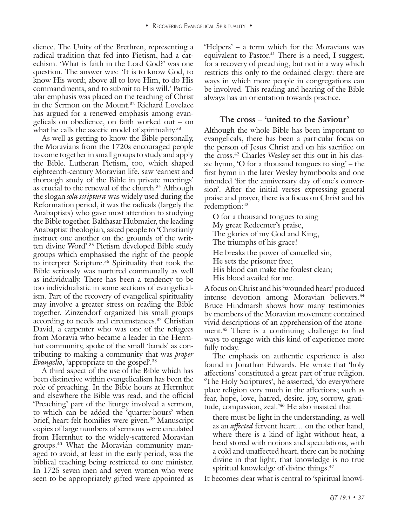dience. The Unity of the Brethren, representing a radical tradition that fed into Pietism, had a catechism. 'What is faith in the Lord God?' was one question. The answer was: 'It is to know God, to know His word; above all to love Him, to do His commandments, and to submit to His will.' Particular emphasis was placed on the teaching of Christ in the Sermon on the Mount.<sup>32</sup> Richard Lovelace has argued for a renewed emphasis among evangelicals on obedience, on faith worked out – on what he calls the ascetic model of spirituality.<sup>33</sup>

As well as getting to know the Bible personally, the Moravians from the 1720s encouraged people to come together in small groups to study and apply the Bible. Lutheran Pietism, too, which shaped eighteenth-century Moravian life, saw 'earnest and thorough study of the Bible in private meetings' as crucial to the renewal of the church.<sup>34</sup> Although the slogan *sola scriptura* was widely used during the Reformation period, it was the radicals (largely the Anabaptists) who gave most attention to studying the Bible together. Balthasar Hubmaier, the leading Anabaptist theologian, asked people to 'Christianly instruct one another on the grounds of the written divine Word'.35 Pietism developed Bible study groups which emphasised the right of the people to interpret Scripture.36 Spirituality that took the Bible seriously was nurtured communally as well as individually. There has been a tendency to be too individualistic in some sections of evangelicalism. Part of the recovery of evangelical spirituality may involve a greater stress on reading the Bible together. Zinzendorf organized his small groups according to needs and circumstances.<sup>37</sup> Christian David, a carpenter who was one of the refugees from Moravia who became a leader in the Herrnhut community, spoke of the small 'bands' as contributing to making a community that was *proper Evangelio*, 'appropriate to the gospel'.38

A third aspect of the use of the Bible which has been distinctive within evangelicalism has been the role of preaching. In the Bible hours at Herrnhut and elsewhere the Bible was read, and the official 'Preaching' part of the liturgy involved a sermon, to which can be added the 'quarter-hours' when brief, heart-felt homilies were given.<sup>39</sup> Manuscript copies of large numbers of sermons were circulated from Herrnhut to the widely-scattered Moravian groups.40 What the Moravian community managed to avoid, at least in the early period, was the biblical teaching being restricted to one minister. In 1725 seven men and seven women who were seen to be appropriately gifted were appointed as

'Helpers' – a term which for the Moravians was equivalent to Pastor. $41$  There is a need, I suggest, for a recovery of preaching, but not in a way which restricts this only to the ordained clergy: there are ways in which more people in congregations can be involved. This reading and hearing of the Bible always has an orientation towards practice.

#### **The cross – 'united to the Saviour'**

Although the whole Bible has been important to evangelicals, there has been a particular focus on the person of Jesus Christ and on his sacrifice on the cross.42 Charles Wesley set this out in his classic hymn, 'O for a thousand tongues to sing' – the first hymn in the later Wesley hymnbooks and one intended 'for the anniversary day of one's conversion'. After the initial verses expressing general praise and prayer, there is a focus on Christ and his redemption:<sup>43</sup>

O for a thousand tongues to sing My great Redeemer's praise, The glories of my God and King, The triumphs of his grace! He breaks the power of cancelled sin, He sets the prisoner free; His blood can make the foulest clean; His blood availed for me.

A focus on Christ and his 'wounded heart' produced intense devotion among Moravian believers.<sup>44</sup> Bruce Hindmarsh shows how many testimonies by members of the Moravian movement contained vivid descriptions of an apprehension of the atonement.45 There is a continuing challenge to find ways to engage with this kind of experience more fully today.

The emphasis on authentic experience is also found in Jonathan Edwards. He wrote that 'holy affections' constituted a great part of true religion. 'The Holy Scriptures', he asserted, 'do everywhere place religion very much in the affections; such as fear, hope, love, hatred, desire, joy, sorrow, gratitude, compassion, zeal.'46 He also insisted that

there must be light in the understanding, as well as an *affected* fervent heart… on the other hand, where there is a kind of light without heat, a head stored with notions and speculations, with a cold and unaffected heart, there can be nothing divine in that light, that knowledge is no true spiritual knowledge of divine things.<sup>47</sup>

It becomes clear what is central to 'spiritual knowl-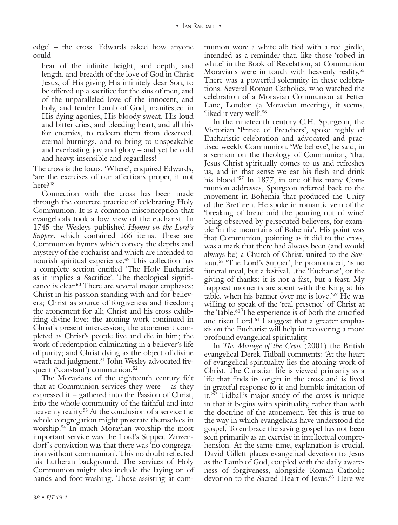edge' – the cross. Edwards asked how anyone could

hear of the infinite height, and depth, and length, and breadth of the love of God in Christ Jesus, of His giving His infinitely dear Son, to be offered up a sacrifice for the sins of men, and of the unparalleled love of the innocent, and holy, and tender Lamb of God, manifested in His dying agonies, His bloody sweat, His loud and bitter cries, and bleeding heart, and all this for enemies, to redeem them from deserved, eternal burnings, and to bring to unspeakable and everlasting joy and glory – and yet be cold and heavy, insensible and regardless!

The cross is the focus. 'Where', enquired Edwards, 'are the exercises of our affections proper, if not here?<sup>48</sup>

Connection with the cross has been made through the concrete practice of celebrating Holy Communion. It is a common misconception that evangelicals took a low view of the eucharist. In 1745 the Wesleys published *Hymns on the Lord's Supper*, which contained 166 items. These are Communion hymns which convey the depths and mystery of the eucharist and which are intended to nourish spiritual experience.<sup>49</sup> This collection has a complete section entitled 'The Holy Eucharist as it implies a Sacrifice'. The theological significance is clear.50 There are several major emphases: Christ in his passion standing with and for believers; Christ as source of forgiveness and freedom; the atonement for all; Christ and his cross exhibiting divine love; the atoning work continued in Christ's present intercession; the atonement completed as Christ's people live and die in him; the work of redemption culminating in a believer's life of purity; and Christ dying as the object of divine wrath and judgment.<sup>51</sup> John Wesley advocated frequent ('constant') communion.<sup>52</sup>

The Moravians of the eighteenth century felt that at Communion services they were – as they expressed it – gathered into the Passion of Christ, into the whole community of the faithful and into heavenly reality.53 At the conclusion of a service the whole congregation might prostrate themselves in worship.54 In much Moravian worship the most important service was the Lord's Supper. Zinzendorf 's conviction was that there was 'no congregation without communion'. This no doubt reflected his Lutheran background. The services of Holy Communion might also include the laying on of hands and foot-washing. Those assisting at communion wore a white alb tied with a red girdle, intended as a reminder that, like those 'robed in white' in the Book of Revelation, at Communion Moravians were in touch with heavenly reality.<sup>55</sup> There was a powerful solemnity in these celebrations. Several Roman Catholics, who watched the celebration of a Moravian Communion at Fetter Lane, London (a Moravian meeting), it seems, 'liked it very well'.56

In the nineteenth century C.H. Spurgeon, the Victorian 'Prince of Preachers', spoke highly of Eucharistic celebration and advocated and practised weekly Communion. 'We believe', he said, in a sermon on the theology of Communion, 'that Jesus Christ spiritually comes to us and refreshes us, and in that sense we eat his flesh and drink his blood.'57 In 1877, in one of his many Communion addresses, Spurgeon referred back to the movement in Bohemia that produced the Unity of the Brethren. He spoke in romantic vein of the 'breaking of bread and the pouring out of wine' being observed by persecuted believers, for example 'in the mountains of Bohemia'. His point was that Communion, pointing as it did to the cross, was a mark that there had always been (and would always be) a Church of Christ, united to the Saviour.<sup>58</sup> 'The Lord's Supper', he pronounced, 'is no funeral meal, but a festival…the 'Eucharist', or the giving of thanks: it is not a fast, but a feast. My happiest moments are spent with the King at his table, when his banner over me is love.'59 He was willing to speak of the 'real presence' of Christ at the Table.60 The experience is of both the crucified and risen Lord.<sup>61</sup> I suggest that a greater emphasis on the Eucharist will help in recovering a more profound evangelical spirituality.

In *The Message of the Cross* (2001) the British evangelical Derek Tidball comments: 'At the heart of evangelical spirituality lies the atoning work of Christ. The Christian life is viewed primarily as a life that finds its origin in the cross and is lived in grateful response to it and humble imitation of it.<sup> $5\overline{62}$ </sup> Tidball's major study of the cross is unique in that it begins with spirituality, rather than with the doctrine of the atonement. Yet this is true to the way in which evangelicals have understood the gospel. To embrace the saving gospel has not been seen primarily as an exercise in intellectual comprehension. At the same time, explanation is crucial. David Gillett places evangelical devotion to Jesus as the Lamb of God, coupled with the daily awareness of forgiveness, alongside Roman Catholic devotion to the Sacred Heart of Jesus.<sup>63</sup> Here we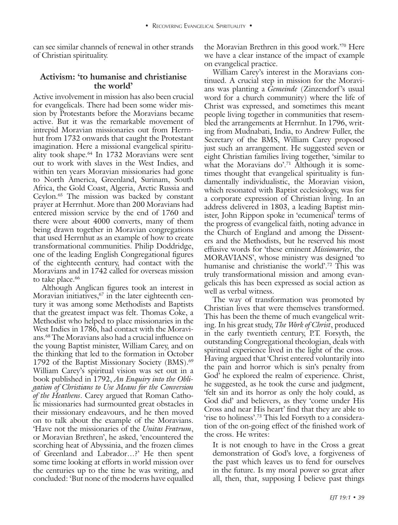can see similar channels of renewal in other strands of Christian spirituality.

## **Activism: 'to humanise and christianise the world'**

Active involvement in mission has also been crucial for evangelicals. There had been some wider mission by Protestants before the Moravians became active. But it was the remarkable movement of intrepid Moravian missionaries out from Herrnhut from 1732 onwards that caught the Protestant imagination. Here a missional evangelical spirituality took shape.64 In 1732 Moravians were sent out to work with slaves in the West Indies, and within ten years Moravian missionaries had gone to North America, Greenland, Surinam, South Africa, the Gold Coast, Algeria, Arctic Russia and Ceylon.65 The mission was backed by constant prayer at Herrnhut. More than 200 Moravians had entered mission service by the end of 1760 and there were about 4000 converts, many of them being drawn together in Moravian congregations that used Herrnhut as an example of how to create transformational communities. Philip Doddridge, one of the leading English Congregational figures of the eighteenth century, had contact with the Moravians and in 1742 called for overseas mission to take place.<sup>66</sup>

Although Anglican figures took an interest in Moravian initiatives, $67$  in the later eighteenth century it was among some Methodists and Baptists that the greatest impact was felt. Thomas Coke, a Methodist who helped to place missionaries in the West Indies in 1786, had contact with the Moravians.68 The Moravians also had a crucial influence on the young Baptist minister, William Carey, and on the thinking that led to the formation in October 1792 of the Baptist Missionary Society (BMS).<sup>69</sup> William Carey's spiritual vision was set out in a book published in 1792, *An Enquiry into the Obligation of Christians to Use Means for the Conversion of the Heathens*. Carey argued that Roman Catholic missionaries had surmounted great obstacles in their missionary endeavours, and he then moved on to talk about the example of the Moravians. 'Have not the missionaries of the *Unitas Fratrum*, or Moravian Brethren', he asked, 'encountered the scorching heat of Abyssinia, and the frozen climes of Greenland and Labrador…?' He then spent some time looking at efforts in world mission over the centuries up to the time he was writing, and concluded: 'But none of the moderns have equalled

the Moravian Brethren in this good work.'70 Here we have a clear instance of the impact of example on evangelical practice.

William Carey's interest in the Moravians continued. A crucial step in mission for the Moravians was planting a *Gemeinde* (Zinzendorf's usual word for a church community) where the life of Christ was expressed, and sometimes this meant people living together in communities that resembled the arrangements at Herrnhut. In 1796, writing from Mudnabati, India, to Andrew Fuller, the Secretary of the BMS, William Carey proposed just such an arrangement. He suggested seven or eight Christian families living together, 'similar to what the Moravians do'.<sup>71</sup> Although it is sometimes thought that evangelical spirituality is fundamentally individualistic, the Moravian vision, which resonated with Baptist ecclesiology, was for a corporate expression of Christian living. In an address delivered in 1803, a leading Baptist minister, John Rippon spoke in 'ecumenical' terms of the progress of evangelical faith, noting advance in the Church of England and among the Dissenters and the Methodists, but he reserved his most effusive words for 'these eminent *Missionaries*, the MORAVIANS', whose ministry was designed 'to humanise and christianise the world'.72 This was truly transformational mission and among evangelicals this has been expressed as social action as well as verbal witness.

The way of transformation was promoted by Christian lives that were themselves transformed. This has been the theme of much evangelical writing. In his great study, *The Work of Christ*, produced in the early twentieth century, P.T. Forsyth, the outstanding Congregational theologian, deals with spiritual experience lived in the light of the cross. Having argued that 'Christ entered voluntarily into the pain and horror which is sin's penalty from God' he explored the realm of experience. Christ, he suggested, as he took the curse and judgment, 'felt sin and its horror as only the holy could, as God did' and believers, as they 'come under His Cross and near His heart' find that they are able to 'rise to holiness'.73 This led Forsyth to a consideration of the on-going effect of the finished work of the cross. He writes:

It is not enough to have in the Cross a great demonstration of God's love, a forgiveness of the past which leaves us to fend for ourselves in the future. Is my moral power so great after all, then, that, supposing I believe past things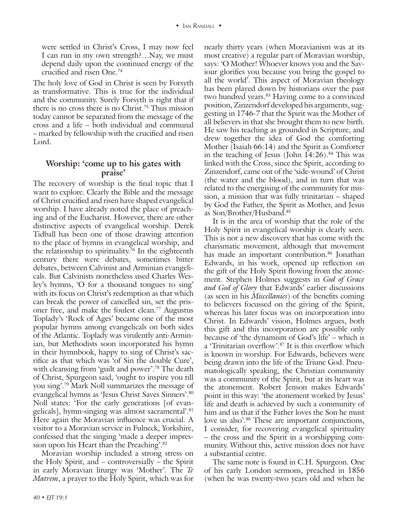were settled in Christ's Cross, I may now feel I can run in my own strength?…Nay, we must depend daily upon the continued energy of the crucified and risen One.74

The holy love of God in Christ is seen by Forsyth as transformative. This is true for the individual and the community. Surely Forsyth is right that if there is no cross there is no Christ.75 Thus mission today cannot be separated from the message of the cross and a life – both individual and communal – marked by fellowship with the crucified and risen Lord.

# **Worship: 'come up to his gates with praise'**

The recovery of worship is the final topic that I want to explore. Clearly the Bible and the message of Christ crucified and risen have shaped evangelical worship. I have already noted the place of preaching and of the Eucharist. However, there are other distinctive aspects of evangelical worship. Derek Tidball has been one of those drawing attention to the place of hymns in evangelical worship, and the relationship to spirituality.<sup>76</sup> In the eighteenth century there were debates, sometimes bitter debates, between Calvinist and Arminian evangelicals. But Calvinists nonetheless used Charles Wesley's hymns, 'O for a thousand tongues to sing' with its focus on Christ's redemption as that which can break the power of cancelled sin, set the prisoner free, and make the foulest clean.77 Augustus Toplady's 'Rock of Ages' became one of the most popular hymns among evangelicals on both sides of the Atlantic. Toplady was virulently anti-Arminian, but Methodists soon incorporated his hymn in their hymnbook, happy to sing of Christ's sacrifice as that which was 'of Sin the double Cure', with cleansing from 'guilt and power'.<sup>78</sup> The death of Christ, Spurgeon said, 'ought to inspire you till you sing'.79 Mark Noll summarizes the message of evangelical hymns as 'Jesus Christ Saves Sinners'.80 Noll states: 'For the early generations [of evangelicals], hymn-singing was almost sacramental'.81 Here again the Moravian influence was crucial. A visitor to a Moravian service in Fulneck, Yorkshire, confessed that the singing 'made a deeper impression upon his Heart than the Preaching'.<sup>82</sup>

Moravian worship included a strong stress on the Holy Spirit, and – controversially – the Spirit in early Moravian liturgy was 'Mother'. The *Te Matrem*, a prayer to the Holy Spirit, which was for nearly thirty years (when Moravianism was at its most creative) a regular part of Moravian worship, says: 'O Mother! Whoever knows you and the Saviour glorifies you because you bring the gospel to all the world'. This aspect of Moravian theology has been played down by historians over the past two hundred years.<sup>83</sup> Having come to a convinced position, Zinzendorf developed his arguments, suggesting in 1746-7 that the Spirit was the Mother of all believers in that she brought them to new birth. He saw his teaching as grounded in Scripture, and drew together the idea of God the comforting Mother (Isaiah 66:14) and the Spirit as Comforter in the teaching of Jesus (John  $14:26$ ).<sup>84</sup> This was linked with the Cross, since the Spirit, according to Zinzendorf, came out of the 'side-wound' of Christ (the water and the blood), and in turn that was related to the energising of the community for mission, a mission that was fully trinitarian – shaped by God the Father, the Spirit as Mother, and Jesus as Son/Brother/Husband.85

It is in the area of worship that the role of the Holy Spirit in evangelical worship is clearly seen. This is not a new discovery that has come with the charismatic movement, although that movement has made an important contribution.<sup>86</sup> Jonathan Edwards, in his work, opened up reflection on the gift of the Holy Spirit flowing from the atonement. Stephen Holmes suggests in *God of Grace and God of Glory* that Edwards' earlier discussions (as seen in his *Miscellanies*) of the benefits coming to believers focussed on the giving of the Spirit, whereas his later focus was on incorporation into Christ. In Edwards' vision, Holmes argues, both this gift and this incorporation are possible only because of 'the dynamism of God's life' – which is a 'Trinitarian overflow'.87 It is this overflow which is known in worship. For Edwards, believers were being drawn into the life of the Triune God. Pneumatologically speaking, the Christian community was a community of the Spirit, but at its heart was the atonement. Robert Jenson makes Edwards' point in this way: 'the atonement worked by Jesus' life and death is achieved by such a community of him and us that if the Father loves the Son he must love us also'.<sup>88</sup> These are important conjunctions, I consider, for recovering evangelical spirituality – the cross and the Spirit in a worshipping community. Without this, active mission does not have a substantial centre.

The same note is found in C.H. Spurgeon. One of his early London sermons, preached in 1856 (when he was twenty-two years old and when he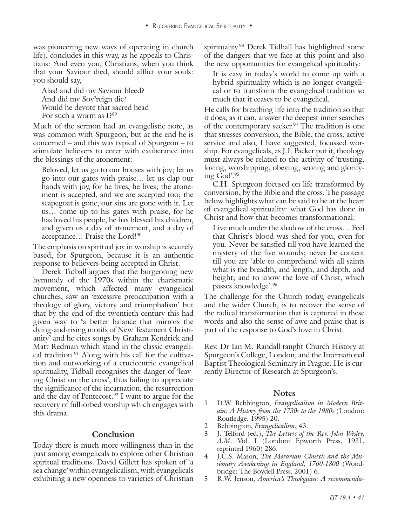was pioneering new ways of operating in church life), concludes in this way, as he appeals to Christians: 'And even you, Christians, when you think that your Saviour died, should afflict your souls: you should say,

Alas! and did my Saviour bleed? And did my Sov'reign die? Would he devote that sacred head For such a worm as I?89

Much of the sermon had an evangelistic note, as was common with Spurgeon, but at the end he is concerned – and this was typical of Spurgeon – to stimulate believers to enter with exuberance into the blessings of the atonement:

Beloved, let us go to our houses with joy; let us go into our gates with praise… let us clap our hands with joy, for he lives, he lives; the atonement is accepted, and we are accepted too; the scapegoat is gone, our sins are gone with it. Let us… come up to his gates with praise, for he has loved his people, he has blessed his children, and given us a day of atonement, and a day of acceptance… Praise the Lord!90

The emphasis on spiritual joy in worship is securely based, for Spurgeon, because it is an authentic response to believers being accepted in Christ.

Derek Tidball argues that the burgeoning new hymnody of the 1970s within the charismatic movement, which affected many evangelical churches, saw an 'excessive preoccupation with a theology of glory, victory and triumphalism' but that by the end of the twentieth century this had given way to 'a better balance that mirrors the dying-and-rising motifs of New Testament Christianity' and he cites songs by Graham Kendrick and Matt Redman which stand in the classic evangelical tradition.<sup>91</sup> Along with his call for the cultivation and outworking of a crucicentric evangelical spirituality, Tidball recognises the danger of 'leaving Christ on the cross', thus failing to appreciate the significance of the incarnation, the resurrection and the day of Pentecost.<sup>92</sup> I want to argue for the recovery of full-orbed worship which engages with this drama.

#### **Conclusion**

Today there is much more willingness than in the past among evangelicals to explore other Christian spiritual traditions. David Gillett has spoken of 'a sea change' within evangelicalism, with evangelicals exhibiting a new openness to varieties of Christian spirituality.93 Derek Tidball has highlighted some of the dangers that we face at this point and also the new opportunities for evangelical spirituality:

It is easy in today's world to come up with a hybrid spirituality which is no longer evangelical or to transform the evangelical tradition so much that it ceases to be evangelical.

He calls for breathing life into the tradition so that it does, as it can, answer the deepest inner searches of the contemporary seeker.<sup>94</sup> The tradition is one that stresses conversion, the Bible, the cross, active service and also, I have suggested, focussed worship. For evangelicals, as J.I. Packer put it, theology must always be related to the activity of 'trusting, loving, worshipping, obeying, serving and glorifying God'.95

C.H. Spurgeon focused on life transformed by conversion, by the Bible and the cross. The passage below highlights what can be said to be at the heart of evangelical spirituality: what God has done in Christ and how that becomes transformational:

Live much under the shadow of the cross… Feel that Christ's blood was shed for you, even for you. Never be satisfied till you have learned the mystery of the five wounds; never be content till you are 'able to comprehend with all saints what is the breadth, and length, and depth, and height; and to know the love of Christ, which passes knowledge'.96

The challenge for the Church today, evangelicals and the wider Church, is to recover the sense of the radical transformation that is captured in these words and also the sense of awe and praise that is part of the response to God's love in Christ.

Rev. Dr Ian M. Randall taught Church History at Spurgeon's College, London, and the International Baptist Theological Seminary in Prague. He is currently Director of Research at Spurgeon's.

#### **Notes**

- 1 D.W. Bebbington, *Evangelicalism in Modern Britain: A History from the 1730s to the 1980s* (London: Routledge, 1995) 20.
- 2 Bebbington, *Evangelicalism*, 43.
- 3 J. Telford (ed.), *The Letters of the Rev. John Wesley, A.M*. Vol. I (London: Epworth Press, 1931, reprinted 1960) 286.
- 4 J.C.S. Mason, *The Moravian Church and the Missionary Awakening in England, 1760-1800* (Woodbridge: The Boydell Press, 2001) 6.
- 5 R.W. Jenson, *America's Theologian: A recommenda-*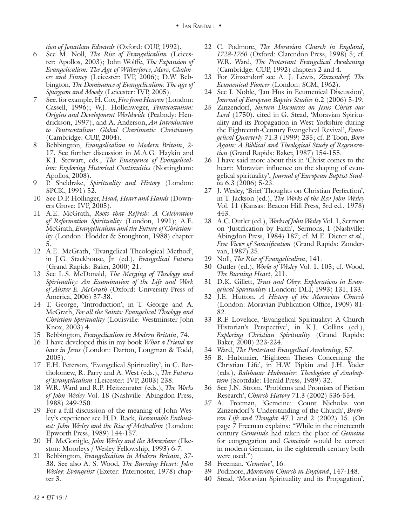*tion of Jonathan Edwards* (Oxford: OUP, 1992).

- 6 See M. Noll, *The Rise of Evangelicalism* (Leicester: Apollos, 2003); John Wolffe, *The Expansion of Evangelicalism: The Age of Wilberforce, More, Chalmers and Finney* (Leicester: IVP, 2006); D.W. Bebbington, *The Dominance of Evangelicalism: The age of Spurgeon and Moody* (Leicester: IVP, 2005).
- 7 See, for example, H. Cox, *Fire from Heaven* (London: Cassell, 1996); W.J. Hollenweger, *Pentecostalism: Origins and Development Worldwide* (Peabody: Hendrickson, 1997); and A. Anderson, *An Introduction to Pentecostalism: Global Charismatic Christianity* (Cambridge: CUP, 2004).
- 8 Bebbington, *Evangelicalism in Modern Britain*, 2- 17. See further discussion in M.A.G. Haykin and K.J. Stewart, eds., *The Emergence of Evangelicalism: Exploring Historical Continuities* (Nottingham: Apollos, 2008).
- 9 P. Sheldrake, *Spirituality and History* (London: SPCK, 1991) 52.
- 10 See D.P. Hollinger, *Head, Heart and Hands* (Downers Grove: IVP, 2005).
- 11 A.E. McGrath, *Roots that Refresh: A Celebration of Reformation Spirituality* (London, 1991); A.E. McGrath, *Evangelicalism and the Future of Christianity* (London: Hodder & Stoughton, 1988) chapter 5.
- 12 A.E. McGrath, 'Evangelical Theological Method', in J.G. Stackhouse, Jr. (ed.), *Evangelical Futures* (Grand Rapids: Baker, 2000) 21.
- 13 See L.S. McDonald, *The Merging of Theology and Spirituality: An Examination of the Life and Work of Alister E. McGrath* (Oxford: University Press of America, 2006) 37-38.
- 14 T. George, 'Introduction', in T. George and A. McGrath, *For all the Saints: Evangelical Theology and Christian Spirituality* (Louisville: Westminster John Knox, 2003) 4.
- 15 Bebbington, *Evangelicalism in Modern Britain*, 74.
- 16 I have developed this in my book *What a Friend we have in Jesus* (London: Darton, Longman & Todd, 2005).
- 17 E.H. Peterson, 'Evangelical Spirituality', in C. Bartholomew, R. Parry and A. West (eds.), *The Futures of Evangelicalism* (Leicester: IVP, 2003) 238.
- 18 W.R. Ward and R.P. Heitzenrater (eds.), *The Works of John Wesley* Vol. 18 (Nashville: Abingdon Press, 1988) 249-250.
- 19 For a full discussion of the meaning of John Wesley's experience see H.D. Rack, *Reasonable Enthusiast: John Wesley and the Rise of Methodism* (London: Epworth Press, 1989) 144-157.
- 20 H. McGonigle, *John Wesley and the Moravians* (Ilkeston: Moorleys / Wesley Fellowship, 1993) 6-7.
- 21 Bebbington, *Evangelicalism in Modern Britain*, 37- 38. See also A. S. Wood, *The Burning Heart: John Wesley: Evangelist* (Exeter: Paternoster, 1978) chapter 3.
- 22 C. Podmore, *The Moravian Church in England, 1728-1760* (Oxford: Clarendon Press, 1998) 5; cf. W.R. Ward, *The Protestant Evangelical Awakening*  (Cambridge: CUP, 1992) chapters 2 and 4.
- 23 For Zinzendorf see A. J. Lewis, *Zinzendorf: The Ecumenical Pioneer* (London: SCM, 1962).
- 24 See I. Noble, 'Jan Hus in Ecumenical Discussion', *Journal of European Baptist Studies* 6.2 (2006) 5-19.
- 25 Zinzendorf, *Sixteen Discourses on Jesus Christ our Lord* (1750), cited in G. Stead, 'Moravian Spirituality and its Propagation in West Yorkshire during the Eighteenth-Century Evangelical Revival', *Evangelical Quarterly* 71.3 (1999) 235; cf. P. Toon, *Born Again: A Biblical and Theological Study of Regeneration* (Grand Rapids: Baker, 1987) 154-155.
- 26 I have said more about this in 'Christ comes to the heart: Moravian influence on the shaping of evangelical spirituality', *Journal of European Baptist Studies* 6.3 (2006) 5-23.
- 27 J. Wesley, 'Brief Thoughts on Christian Perfection', in T. Jackson (ed.), *The Works of the Rev John Wesley* Vol. 11 (Kansas: Beacon Hill Press, 3rd ed., 1978) 443.
- 28 A.C. Outler (ed.), *Works of John Wesley* Vol. 1, Sermon on 'Justification by Faith', Sermons, I (Nashville: Abingdon Press, 1984) 187; cf. M.E. Dieter *et al.*, *Five Views of Sanctification* (Grand Rapids: Zondervan, 1987) 25.
- 29 Noll, *The Rise of Evangelicalism*, 141.
- 30 Outler (ed.), *Works of Wesley* Vol. 1, 105; cf. Wood, *The Burning Heart*, 211.
- 31 D.K. Gillett, *Trust and Obey: Explorations in Evangelical Spirituality* (London: DLT, 1993) 131, 133.
- 32 J.E. Hutton, *A History of the Moravian Church* (London: Moravian Publication Office, 1909) 81- 82.
- 33 R.F. Lovelace, 'Evangelical Spirituality: A Church Historian's Perspective', in K.J. Collins (ed.), *Exploring Christian Spirituality* (Grand Rapids: Baker, 2000) 223-224.
- 34 Ward, *The Protestant Evangelical Awakening*, 57.
- 35 B. Hubmaier, 'Eighteen Theses Concerning the Christian Life', in H.W. Pipkin and J.H. Yoder (eds.), *Balthasar Hubmaier: Theologian of Anabaptism* (Scottdale: Herald Press, 1989) 32.
- 36 See J.N. Strom, 'Problems and Promises of Pietism Research', *Church History* 71.3 (2002) 536-554.
- 37 A. Freeman, 'Gemeine: Count Nicholas von Zinzendorf 's Understanding of the Church', *Brethren Life and Thought* 47.1 and 2 (2002) 15. (On page 7 Freeman explains: "While in the nineteenth century *Gemeinde* had taken the place of *Gemeine* for congregation and *Gemeinde* would be correct in modern German, in the eighteenth century both were used.")
- 38 Freeman, '*Gemeine*', 16.
- 39 Podmore, *Moravian Church in England*, 147-148.
- 40 Stead, 'Moravian Spirituality and its Propagation',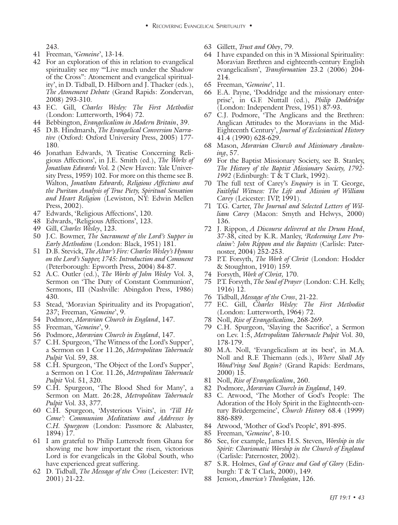- 41 Freeman, '*Gemeine*', 13-14.
- 42 For an exploration of this in relation to evangelical spirituality see my '"Live much under the Shadow of the Cross": Atonement and evangelical spirituality', in D. Tidball, D. Hilborn and J. Thacker (eds.), *The Atonement Debate* (Grand Rapids: Zondervan, 2008) 293-310.
- 43 F.C. Gill, *Charles Wesley: The First Methodist*  (London: Lutterworth, 1964) 72.
- 44 Bebbington, *Evangelicalism in Modern Britain*, 39.
- 45 D.B. Hindmarsh, *The Evangelical Conversion Narrative* (Oxford: Oxford University Press, 2005) 177- 180.
- 243.<br>
24.  $\frac{1}{2}$  **Alternation is complical**<br>
24 **Alternation is complical**<br>
24 **Alternation is complical**<br>
For an explanation is complical<br>
for the machine method complete and the symphonization is completely<br>approxima 46 Jonathan Edwards, 'A Treatise Concerning Religious Affections', in J.E. Smith (ed.), *The Works of Jonathan Edwards* Vol. 2 (New Haven: Yale University Press, 1959) 102. For more on this theme see B. Walton, *Jonathan Edwards, Religious Affections and the Puritan Analysis of True Piety, Spiritual Sensation and Heart Religion* (Lewiston, NY: Edwin Mellen Press, 2002).
- 47 Edwards, 'Religious Affections', 120.
- 48 Edwards, 'Religious Affections', 123.
- 49 Gill, *Charles Wesley*, 123.
- 50 J.C. Bowmer, *The Sacrament of the Lord's Supper in Early Methodism* (London: Black, 1951) 181.
- 51 D.B. Stevick, *The Altar's Fire: Charles Wesley's Hymns on the Lord's Supper, 1745: Introduction and Comment*  (Peterborough: Epworth Press, 2004) 84-87.
- 52 A.C. Outler (ed.), *The Works of John Wesley* Vol. 3, Sermon on 'The Duty of Constant Communion', Sermons, III (Nashville: Abingdon Press, 1986) 430.
- 53 Stead, 'Moravian Spirituality and its Propagation', 237; Freeman, '*Gemeine*', 9.
- 54 Podmore, *Moravian Church in England*, 147.
- 55 Freeman, '*Gemeine*', 9.
- 56 Podmore, *Moravian Church in England*, 147.
- 57 C.H. Spurgeon, 'The Witness of the Lord's Supper', a Sermon on 1 Cor 11.26, *Metropolitan Tabernacle Pulpit* Vol. 59, 38.
- 58 C.H. Spurgeon, 'The Object of the Lord's Supper', a Sermon on 1 Cor. 11.26, *Metropolitan Tabernacle Pulpit* Vol. 51, 320.
- 59 C.H. Spurgeon, 'The Blood Shed for Many', a Sermon on Matt. 26:28, *Metropolitan Tabernacle Pulpit* Vol. 33, 377.
- 60 C.H. Spurgeon, 'Mysterious Visits', in *'Till He Come': Communion Meditations and Addresses by C.H. Spurgeon* (London: Passmore & Alabaster, 1894) 17.
- 61 I am grateful to Philip Lutterodt from Ghana for showing me how important the risen, victorious Lord is for evangelicals in the Global South, who have experienced great suffering.
- 62 D. Tidball, *The Message of the Cross* (Leicester: IVP, 2001) 21-22.
- 63 Gillett, *Trust and Obey*, 79.
- 64 I have expanded on this in 'A Missional Spirituality: Moravian Brethren and eighteenth-century English evangelicalism', *Transformation* 23.2 (2006) 204- 214.
- 65 Freeman, '*Gemeine*', 11.
- 66 E.A. Payne, 'Doddridge and the missionary enterprise', in G.F. Nuttall (ed.), *Philip Doddridge*  (London: Independent Press, 1951) 87-93.
- 67 C.J. Podmore, 'The Anglicans and the Brethren: Anglican Attitudes to the Moravians in the Mid-Eighteenth Century', *Journal of Ecclesiastical History* 41.4 (1990) 628-629.
- 68 Mason, *Moravian Church and Missionary Awakening*, 57.
- 69 For the Baptist Missionary Society, see B. Stanley, *The History of the Baptist Missionary Society, 1792- 1992* (Edinburgh: T & T Clark, 1992).
- 70 The full text of Carey's *Enquiry* is in T. George, *Faithful Witness: The Life and Mission of William Carey* (Leicester: IVP, 1991).
- 71 T.G. Carter, *The Journal and Selected Letters of William Carey* (Macon: Smyth and Helwys, 2000) 136.
- 72 J. Rippon, *A Discourse delivered at the Drum Head*, 37-38, cited by K.R. Manley, *'Redeeming Love Proclaim': John Rippon and the Baptists* (Carlisle: Paternoster, 2004) 252-253.
- 73 P.T. Forsyth, *The Work of Christ* (London: Hodder & Stoughton, 1910) 159.
- 74 Forsyth, *Work of Christ,* 170.
- 75 P.T. Forsyth, *The Soul of Prayer* (London: C.H. Kelly, 1916) 12.
- 76 Tidball, *Message of the Cross*, 21-22.
- 77 F.C. Gill, *Charles Wesley: The First Methodist*  (London: Lutterworth, 1964) 72.
- 78 Noll, *Rise of Evangelicalism*, 268-269.
- 79 C.H. Spurgeon, 'Slaying the Sacrifice', a Sermon on Lev. 1:5, *Metropolitan Tabernacle Pulpit* Vol. 30, 178-179.
- 80 M.A. Noll, 'Evangelicalism at its best', in M.A. Noll and R.F. Thiemann (eds.), *Where Shall My Wond'ring Soul Begin?* (Grand Rapids: Eerdmans, 2000) 15.
- 81 Noll, *Rise of Evangelicalism*, 260.
- 82 Podmore, *Moravian Church in England*, 149.
- 83 C. Atwood, 'The Mother of God's People: The Adoration of the Holy Spirit in the Eighteenth-century Brüdergemeine', *Church History* 68.4 (1999) 886-889.
- 84 Atwood, 'Mother of God's People', 891-895.
- 85 Freeman, '*Gemeine*', 8-10.
- 86 See, for example, James H.S. Steven, *Worship in the Spirit: Charismatic Worship in the Church of England* (Carlisle: Paternoster, 2002).
- 87 S.R. Holmes, *God of Grace and God of Glory* (Edinburgh: T & T Clark, 2000), 149.
- 88 Jenson, *America's Theologian*, 126.